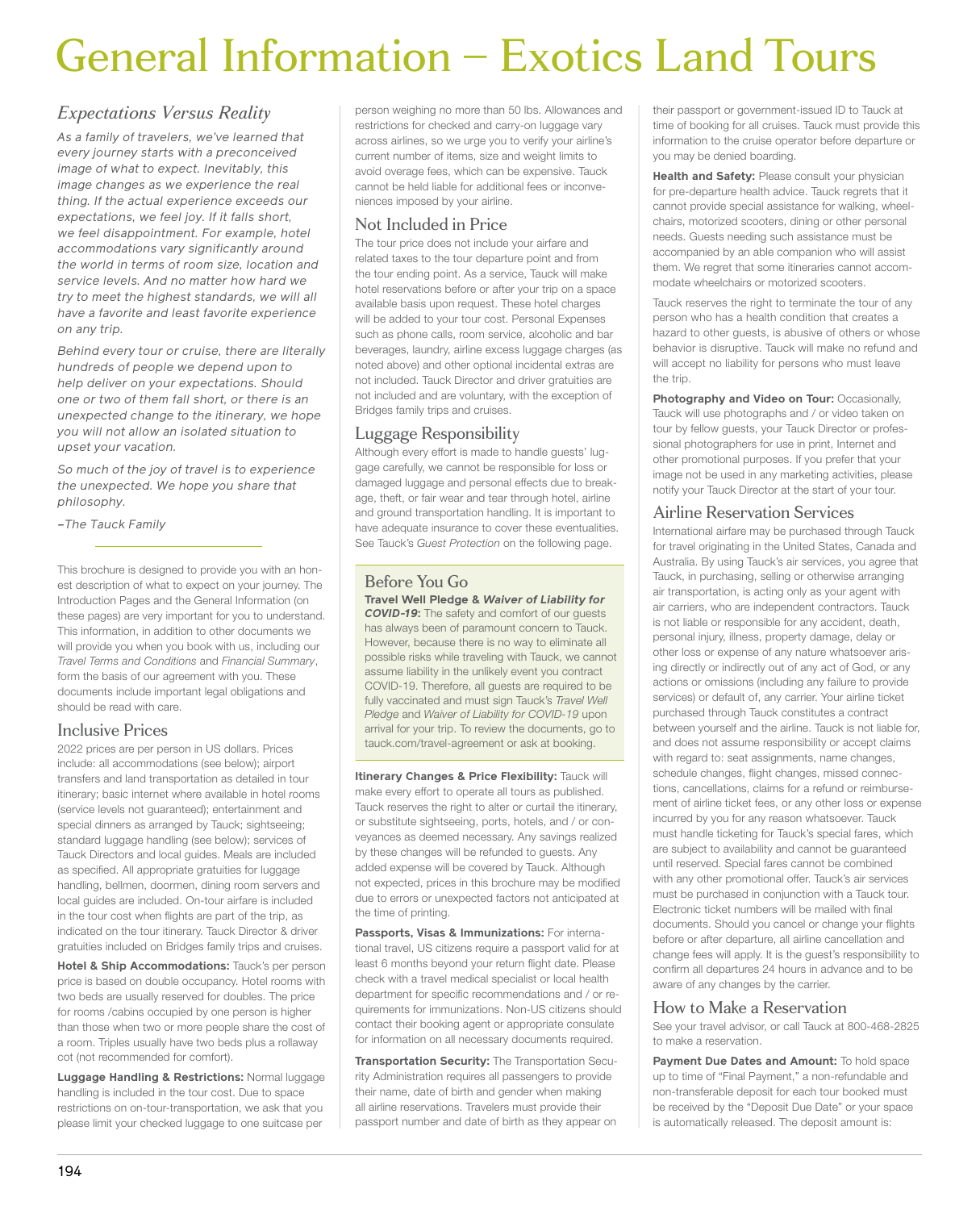# General Information – Exotics Land Tours

# *Expectations Versus Reality*

*As a family of travelers, we've learned that every journey starts with a preconceived image of what to expect. Inevitably, this image changes as we experience the real thing. If the actual experience exceeds our expectations, we feel joy. If it falls short, we feel disappointment. For example, hotel accommodations vary significantly around the world in terms of room size, location and service levels. And no matter how hard we try to meet the highest standards, we will all have a favorite and least favorite experience on any trip.*

*Behind every tour or cruise, there are literally hundreds of people we depend upon to help deliver on your expectations. Should one or two of them fall short, or there is an unexpected change to the itinerary, we hope you will not allow an isolated situation to upset your vacation.*

*So much of the joy of travel is to experience the unexpected. We hope you share that philosophy.*

*–The Tauck Family*

This brochure is designed to provide you with an honest description of what to expect on your journey. The Introduction Pages and the General Information (on these pages) are very important for you to understand. This information, in addition to other documents we will provide you when you book with us, including our *Travel Terms and Conditions* and *Financial Summary*, form the basis of our agreement with you. These documents include important legal obligations and should be read with care.

## Inclusive Prices

2022 prices are per person in US dollars. Prices include: all accommodations (see below); airport transfers and land transportation as detailed in tour itinerary; basic internet where available in hotel rooms (service levels not guaranteed); entertainment and special dinners as arranged by Tauck; sightseeing; standard luggage handling (see below); services of Tauck Directors and local guides. Meals are included as specified. All appropriate gratuities for luggage handling, bellmen, doormen, dining room servers and local guides are included. On-tour airfare is included in the tour cost when flights are part of the trip, as indicated on the tour itinerary. Tauck Director & driver gratuities included on Bridges family trips and cruises.

**Hotel & Ship Accommodations:** Tauck's per person price is based on double occupancy. Hotel rooms with two beds are usually reserved for doubles. The price for rooms /cabins occupied by one person is higher than those when two or more people share the cost of a room. Triples usually have two beds plus a rollaway cot (not recommended for comfort).

**Luggage Handling & Restrictions:** Normal luggage handling is included in the tour cost. Due to space restrictions on on-tour-transportation, we ask that you please limit your checked luggage to one suitcase per

person weighing no more than 50 lbs. Allowances and restrictions for checked and carry-on luggage vary across airlines, so we urge you to verify your airline's current number of items, size and weight limits to avoid overage fees, which can be expensive. Tauck cannot be held liable for additional fees or inconveniences imposed by your airline.

## Not Included in Price

The tour price does not include your airfare and related taxes to the tour departure point and from the tour ending point. As a service, Tauck will make hotel reservations before or after your trip on a space available basis upon request. These hotel charges will be added to your tour cost. Personal Expenses such as phone calls, room service, alcoholic and bar beverages, laundry, airline excess luggage charges (as noted above) and other optional incidental extras are not included. Tauck Director and driver gratuities are not included and are voluntary, with the exception of Bridges family trips and cruises.

# Luggage Responsibility

Although every effort is made to handle guests' luggage carefully, we cannot be responsible for loss or damaged luggage and personal effects due to breakage, theft, or fair wear and tear through hotel, airline and ground transportation handling. It is important to have adequate insurance to cover these eventualities. See Tauck's *Guest Protection* on the following page.

## Before You Go **Travel Well Pledge &** *Waiver of Liability for*

*COVID-19***:** The safety and comfort of our guests has always been of paramount concern to Tauck. However, because there is no way to eliminate all possible risks while traveling with Tauck, we cannot assume liability in the unlikely event you contract COVID-19. Therefore, all guests are required to be fully vaccinated and must sign Tauck's *Travel Well Pledge* and *Waiver of Liability for COVID-19* upon arrival for your trip. To review the documents, go to tauck.com/travel-agreement or ask at booking.

**Itinerary Changes & Price Flexibility:** Tauck will make every effort to operate all tours as published. Tauck reserves the right to alter or curtail the itinerary, or substitute sightseeing, ports, hotels, and / or conveyances as deemed necessary. Any savings realized by these changes will be refunded to guests. Any added expense will be covered by Tauck. Although not expected, prices in this brochure may be modified due to errors or unexpected factors not anticipated at the time of printing.

**Passports, Visas & Immunizations:** For international travel, US citizens require a passport valid for at least 6 months beyond your return flight date. Please check with a travel medical specialist or local health department for specific recommendations and / or requirements for immunizations. Non-US citizens should contact their booking agent or appropriate consulate for information on all necessary documents required.

**Transportation Security:** The Transportation Security Administration requires all passengers to provide their name, date of birth and gender when making all airline reservations. Travelers must provide their passport number and date of birth as they appear on

their passport or government-issued ID to Tauck at time of booking for all cruises. Tauck must provide this information to the cruise operator before departure or you may be denied boarding.

**Health and Safety:** Please consult your physician for pre-departure health advice. Tauck regrets that it cannot provide special assistance for walking, wheelchairs, motorized scooters, dining or other personal needs. Guests needing such assistance must be accompanied by an able companion who will assist them. We regret that some itineraries cannot accommodate wheelchairs or motorized scooters.

Tauck reserves the right to terminate the tour of any person who has a health condition that creates a hazard to other guests, is abusive of others or whose behavior is disruptive. Tauck will make no refund and will accept no liability for persons who must leave the trip.

#### **Photography and Video on Tour:** Occasionally,

Tauck will use photographs and / or video taken on tour by fellow guests, your Tauck Director or professional photographers for use in print, Internet and other promotional purposes. If you prefer that your image not be used in any marketing activities, please notify your Tauck Director at the start of your tour.

## Airline Reservation Services

International airfare may be purchased through Tauck for travel originating in the United States, Canada and Australia. By using Tauck's air services, you agree that Tauck, in purchasing, selling or otherwise arranging air transportation, is acting only as your agent with air carriers, who are independent contractors. Tauck is not liable or responsible for any accident, death, personal injury, illness, property damage, delay or other loss or expense of any nature whatsoever arising directly or indirectly out of any act of God, or any actions or omissions (including any failure to provide services) or default of, any carrier. Your airline ticket purchased through Tauck constitutes a contract between yourself and the airline. Tauck is not liable for, and does not assume responsibility or accept claims with regard to: seat assignments, name changes, schedule changes, flight changes, missed connections, cancellations, claims for a refund or reimbursement of airline ticket fees, or any other loss or expense incurred by you for any reason whatsoever. Tauck must handle ticketing for Tauck's special fares, which are subject to availability and cannot be guaranteed until reserved. Special fares cannot be combined with any other promotional offer. Tauck's air services must be purchased in conjunction with a Tauck tour. Electronic ticket numbers will be mailed with final documents. Should you cancel or change your flights before or after departure, all airline cancellation and change fees will apply. It is the guest's responsibility to confirm all departures 24 hours in advance and to be aware of any changes by the carrier.

#### How to Make a Reservation

See your travel advisor, or call Tauck at 800-468-2825 to make a reservation.

Payment Due Dates and Amount: To hold space up to time of "Final Payment," a non-refundable and non-transferable deposit for each tour booked must be received by the "Deposit Due Date" or your space is automatically released. The deposit amount is: